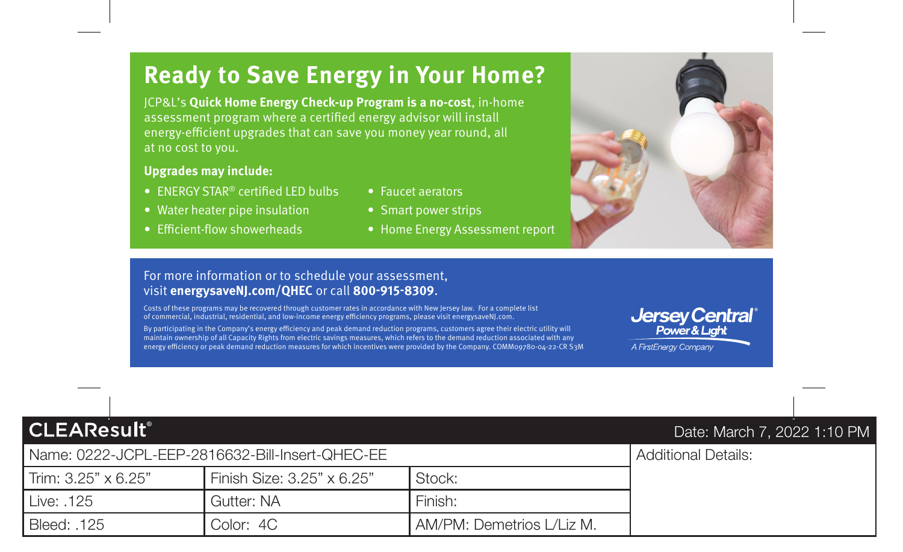# **Ready to Save Energy in Your Home?**

JCP&L's **Quick Home Energy Check-up Program is a no-cost**, in-home assessment program where a certifed energy advisor will install energy-efficient upgrades that can save you money year round, all at no cost to you.

### **Upgrades may include:**

- ENERGY STAR<sup>®</sup> certified LED bulbs Faucet aerators
- Water heater pipe insulation Smart power strips
- 
- 
- 
- Efficient-flow showerheads Home Energy Assessment report

### For more information or to schedule your assessment, visit **[energysaveNJ.com/QHEC](https://energysaveNJ.com/QHEC)** or call **800-915-8309**.

Costs of these programs may be recovered through customer rates in accordance with New Jersey law. For a complete list of commercial, industrial, residential, and low-income energy efciency programs, please visit [energysaveNJ.com.](https://energysaveNJ.com)

By participating in the Company's energy efficiency and peak demand reduction programs, customers agree their electric utility will Costs of these programs may be recovered through customer rates in accordance with New Jersey law. For a complete list<br>Of commercial, industrial, residential, and low-income energy efficiency programs, please visit energys energy efficiency or peak demand reduction measures for which incentives were provided by the Company. COMM09780-04-22-CR S3M **Jersey Central**<sup>®</sup> A FirstEnerav Company

Additional Details:

**CLEAResult®** 

## Date: March 7, 2022 1:10 PM

| Name: 0222-JCPL-EEP-2816632-Bill-Insert-QHEC-EE |                            |                           |  |
|-------------------------------------------------|----------------------------|---------------------------|--|
| l Trim: 3.25" x 6.25"                           | Finish Size: 3.25" x 6.25" | Stock:                    |  |
| l Live: .125                                    | Gutter: NA                 | Finish:                   |  |
| Bleed: .125                                     | Color: 4C                  | AM/PM: Demetrios L/Liz M. |  |